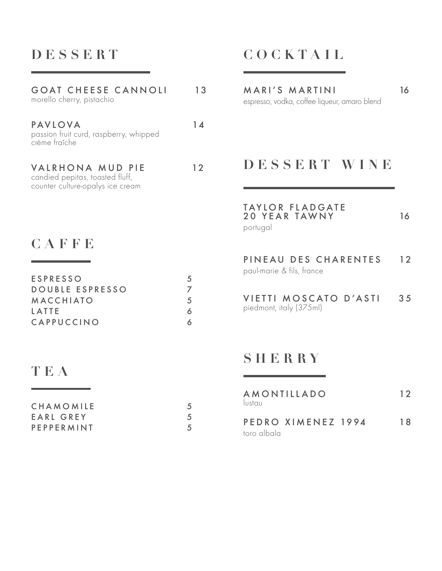## **DESSERT**

### GOAT CHEESE CANNOLI 13 morello cherry, pistachio

PAVLOVA 14 passion fruit curd, raspberry, whipped crème fraîche

#### VALRHONA MUD PIE 12 candied pepitas, toasted fluff, counter culture-opalys ice cream

### **CAFFE**

| <b>ESPRESSO</b> | .h       |
|-----------------|----------|
| DOUBLE ESPRESSO |          |
| MACCHIATO       | $\Delta$ |
| LATTE           |          |
| CAPPUCCINO      |          |

## **TEA**

| CHAMOMILE  |  |
|------------|--|
| EARL GREY  |  |
| PEPPERMINT |  |

# **COCKTAIL**

MARI'S MARTINI 16 espresso, vodka, coffee liqueur, amaro blend

#### **DESSERT WINE**

#### TAYLOR FLADGATE 20 YEAR TAWNY 16 portugal

PINEAU DES CHARENTES 12 paul-marie & fils, france

VIETTI MOSCATO D'ASTI 35 piedmont, italy (375ml)

#### **SHERRY**

| lustau      | AMONTILLADO        | 12  |
|-------------|--------------------|-----|
| toro albala | PEDRO XIMENEZ 1994 | 1 R |
|             |                    |     |